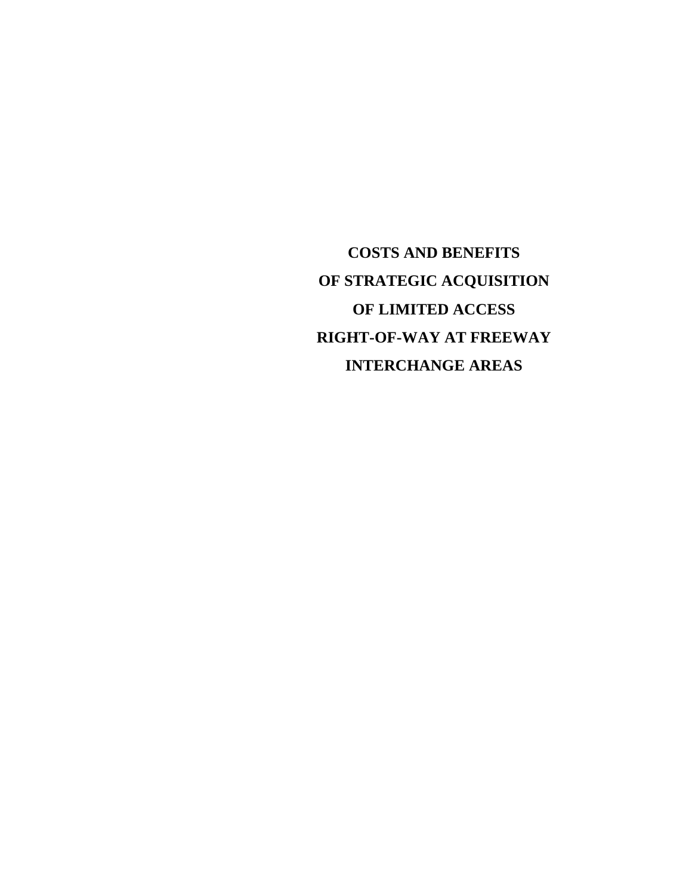**COSTS AND BENEFITS OF STRATEGIC ACQUISITION OF LIMITED ACCESS RIGHT-OF-WAY AT FREEWAY INTERCHANGE AREAS**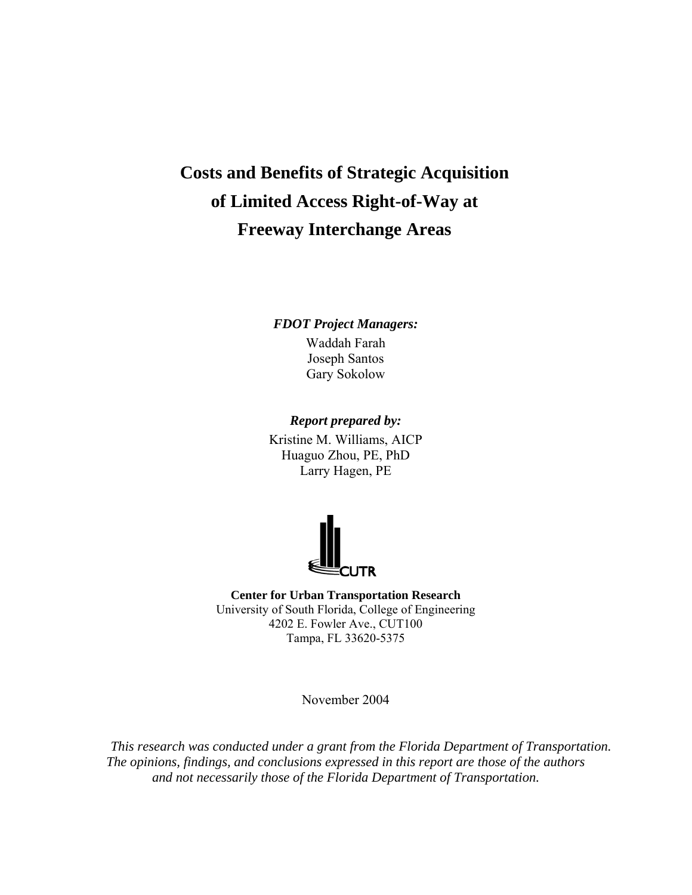# **Costs and Benefits of Strategic Acquisition of Limited Access Right-of-Way at Freeway Interchange Areas**

*FDOT Project Managers:*  Waddah Farah Joseph Santos Gary Sokolow

*Report prepared by:*  Kristine M. Williams, AICP Huaguo Zhou, PE, PhD Larry Hagen, PE



**Center for Urban Transportation Research** University of South Florida, College of Engineering 4202 E. Fowler Ave., CUT100 Tampa, FL 33620-5375

November 2004

*This research was conducted under a grant from the Florida Department of Transportation. The opinions, findings, and conclusions expressed in this report are those of the authors and not necessarily those of the Florida Department of Transportation.*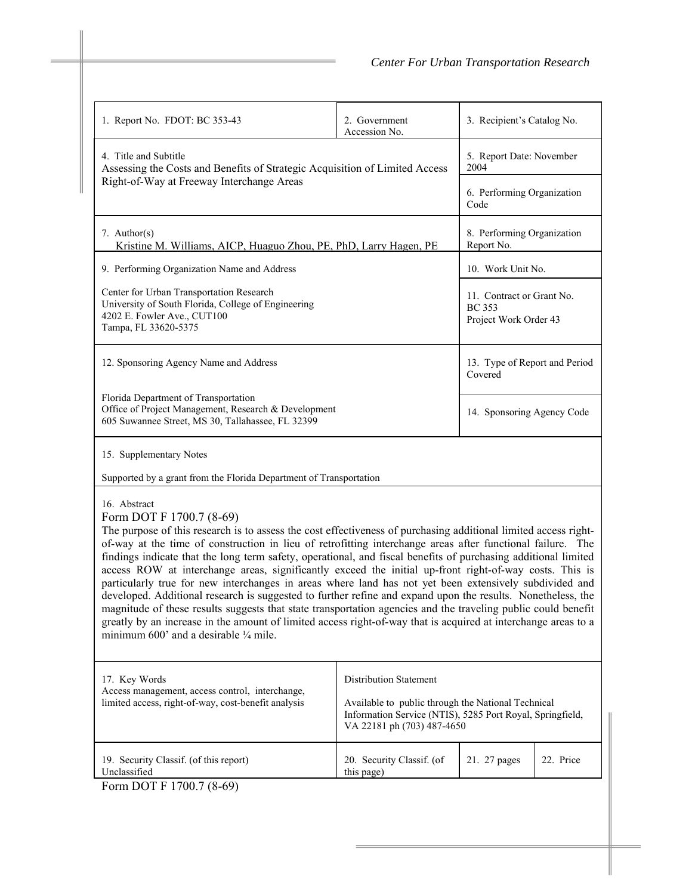| 1. Report No. FDOT: BC 353-43                                                                                                                                                                                                                                                                                                                                                                                                                                                                                                                                                                                                                                                                                                                                                                                                                                                                                                                                                                                           | 2. Government<br>Accession No.                                                                                                                | 3. Recipient's Catalog No.                                          |                   |  |  |
|-------------------------------------------------------------------------------------------------------------------------------------------------------------------------------------------------------------------------------------------------------------------------------------------------------------------------------------------------------------------------------------------------------------------------------------------------------------------------------------------------------------------------------------------------------------------------------------------------------------------------------------------------------------------------------------------------------------------------------------------------------------------------------------------------------------------------------------------------------------------------------------------------------------------------------------------------------------------------------------------------------------------------|-----------------------------------------------------------------------------------------------------------------------------------------------|---------------------------------------------------------------------|-------------------|--|--|
| 4. Title and Subtitle<br>Assessing the Costs and Benefits of Strategic Acquisition of Limited Access<br>Right-of-Way at Freeway Interchange Areas                                                                                                                                                                                                                                                                                                                                                                                                                                                                                                                                                                                                                                                                                                                                                                                                                                                                       | 5. Report Date: November<br>2004                                                                                                              |                                                                     |                   |  |  |
|                                                                                                                                                                                                                                                                                                                                                                                                                                                                                                                                                                                                                                                                                                                                                                                                                                                                                                                                                                                                                         |                                                                                                                                               | 6. Performing Organization<br>Code                                  |                   |  |  |
| 7. Author(s)<br>Kristine M. Williams, AICP, Huaguo Zhou, PE, PhD, Larry Hagen, PE                                                                                                                                                                                                                                                                                                                                                                                                                                                                                                                                                                                                                                                                                                                                                                                                                                                                                                                                       |                                                                                                                                               | 8. Performing Organization<br>Report No.                            |                   |  |  |
| 9. Performing Organization Name and Address                                                                                                                                                                                                                                                                                                                                                                                                                                                                                                                                                                                                                                                                                                                                                                                                                                                                                                                                                                             |                                                                                                                                               |                                                                     | 10. Work Unit No. |  |  |
| Center for Urban Transportation Research<br>University of South Florida, College of Engineering<br>4202 E. Fowler Ave., CUT100<br>Tampa, FL 33620-5375                                                                                                                                                                                                                                                                                                                                                                                                                                                                                                                                                                                                                                                                                                                                                                                                                                                                  |                                                                                                                                               | 11. Contract or Grant No.<br><b>BC</b> 353<br>Project Work Order 43 |                   |  |  |
| 12. Sponsoring Agency Name and Address                                                                                                                                                                                                                                                                                                                                                                                                                                                                                                                                                                                                                                                                                                                                                                                                                                                                                                                                                                                  |                                                                                                                                               | 13. Type of Report and Period<br>Covered                            |                   |  |  |
| Florida Department of Transportation<br>Office of Project Management, Research & Development<br>605 Suwannee Street, MS 30, Tallahassee, FL 32399                                                                                                                                                                                                                                                                                                                                                                                                                                                                                                                                                                                                                                                                                                                                                                                                                                                                       |                                                                                                                                               | 14. Sponsoring Agency Code                                          |                   |  |  |
| 15. Supplementary Notes                                                                                                                                                                                                                                                                                                                                                                                                                                                                                                                                                                                                                                                                                                                                                                                                                                                                                                                                                                                                 |                                                                                                                                               |                                                                     |                   |  |  |
| Supported by a grant from the Florida Department of Transportation                                                                                                                                                                                                                                                                                                                                                                                                                                                                                                                                                                                                                                                                                                                                                                                                                                                                                                                                                      |                                                                                                                                               |                                                                     |                   |  |  |
| 16. Abstract<br>Form DOT F 1700.7 (8-69)<br>The purpose of this research is to assess the cost effectiveness of purchasing additional limited access right-<br>of-way at the time of construction in lieu of retrofitting interchange areas after functional failure. The<br>findings indicate that the long term safety, operational, and fiscal benefits of purchasing additional limited<br>access ROW at interchange areas, significantly exceed the initial up-front right-of-way costs. This is<br>particularly true for new interchanges in areas where land has not yet been extensively subdivided and<br>developed. Additional research is suggested to further refine and expand upon the results. Nonetheless, the<br>magnitude of these results suggests that state transportation agencies and the traveling public could benefit<br>greatly by an increase in the amount of limited access right-of-way that is acquired at interchange areas to a<br>minimum $600'$ and a desirable $\frac{1}{4}$ mile. |                                                                                                                                               |                                                                     |                   |  |  |
| 17. Key Words<br>Access management, access control, interchange,                                                                                                                                                                                                                                                                                                                                                                                                                                                                                                                                                                                                                                                                                                                                                                                                                                                                                                                                                        |                                                                                                                                               |                                                                     |                   |  |  |
| limited access, right-of-way, cost-benefit analysis                                                                                                                                                                                                                                                                                                                                                                                                                                                                                                                                                                                                                                                                                                                                                                                                                                                                                                                                                                     | Available to public through the National Technical<br>Information Service (NTIS), 5285 Port Royal, Springfield,<br>VA 22181 ph (703) 487-4650 |                                                                     |                   |  |  |
| 19. Security Classif. (of this report)<br>Unclassified                                                                                                                                                                                                                                                                                                                                                                                                                                                                                                                                                                                                                                                                                                                                                                                                                                                                                                                                                                  | 21. 27 pages                                                                                                                                  | 22. Price                                                           |                   |  |  |
| Form DOT F 1700.7 (8-69)                                                                                                                                                                                                                                                                                                                                                                                                                                                                                                                                                                                                                                                                                                                                                                                                                                                                                                                                                                                                |                                                                                                                                               |                                                                     |                   |  |  |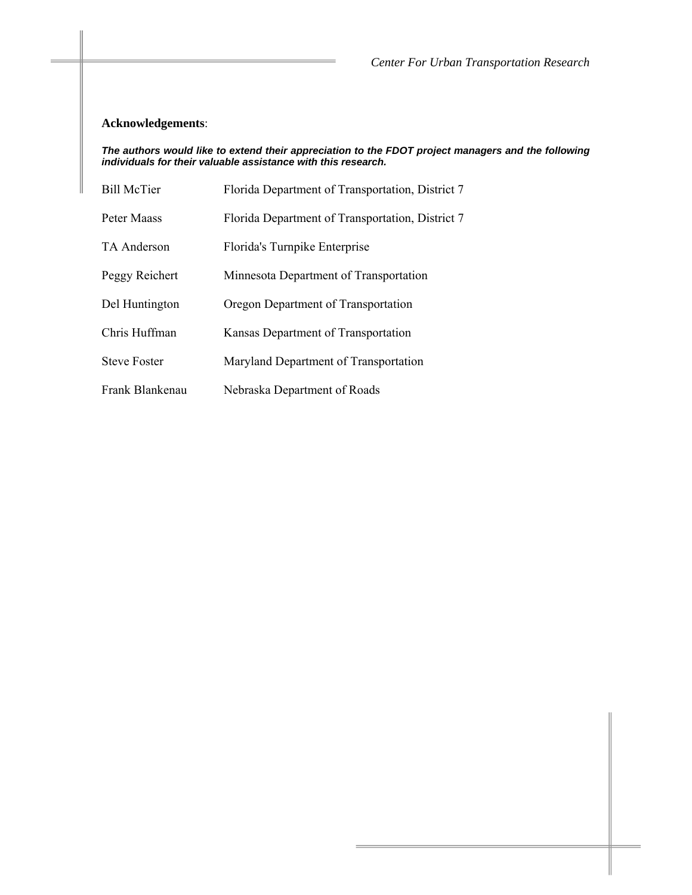# **Acknowledgements**:

#### *The authors would like to extend their appreciation to the FDOT project managers and the following individuals for their valuable assistance with this research.*

| <b>Bill McTier</b>  | Florida Department of Transportation, District 7 |
|---------------------|--------------------------------------------------|
| Peter Maass         | Florida Department of Transportation, District 7 |
| TA Anderson         | Florida's Turnpike Enterprise                    |
| Peggy Reichert      | Minnesota Department of Transportation           |
| Del Huntington      | Oregon Department of Transportation              |
| Chris Huffman       | Kansas Department of Transportation              |
| <b>Steve Foster</b> | Maryland Department of Transportation            |
| Frank Blankenau     | Nebraska Department of Roads                     |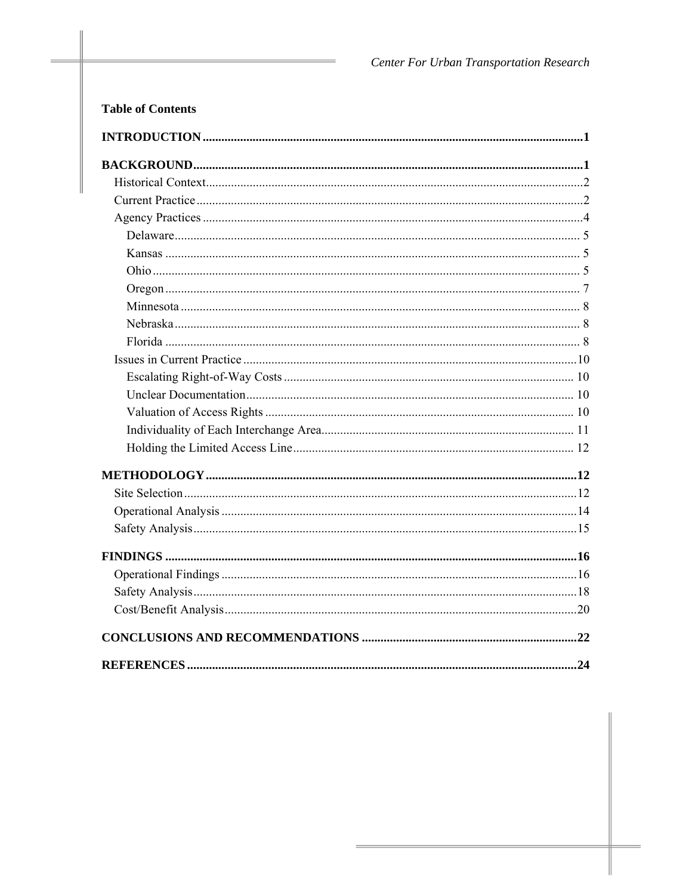| <b>Table of Contents</b> |
|--------------------------|
|                          |
|                          |
|                          |
|                          |
|                          |
|                          |
|                          |
|                          |
|                          |
|                          |
|                          |
|                          |
|                          |
|                          |
|                          |
|                          |
|                          |
|                          |
|                          |
|                          |
|                          |
|                          |
|                          |
|                          |
|                          |
|                          |
|                          |
|                          |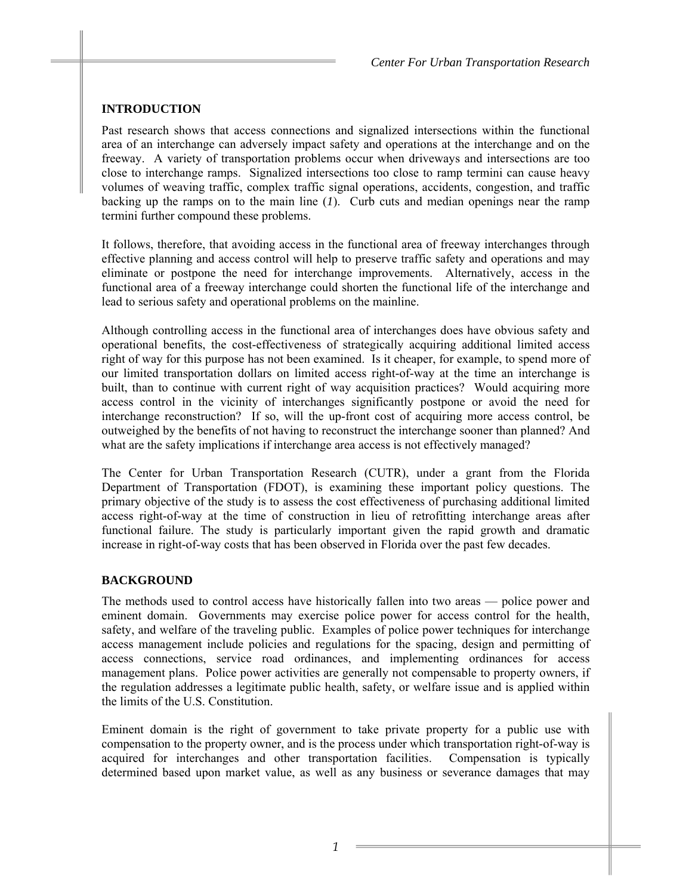# **INTRODUCTION**

Past research shows that access connections and signalized intersections within the functional area of an interchange can adversely impact safety and operations at the interchange and on the freeway. A variety of transportation problems occur when driveways and intersections are too close to interchange ramps. Signalized intersections too close to ramp termini can cause heavy volumes of weaving traffic, complex traffic signal operations, accidents, congestion, and traffic backing up the ramps on to the main line (*1*). Curb cuts and median openings near the ramp termini further compound these problems.

It follows, therefore, that avoiding access in the functional area of freeway interchanges through effective planning and access control will help to preserve traffic safety and operations and may eliminate or postpone the need for interchange improvements. Alternatively, access in the functional area of a freeway interchange could shorten the functional life of the interchange and lead to serious safety and operational problems on the mainline.

Although controlling access in the functional area of interchanges does have obvious safety and operational benefits, the cost-effectiveness of strategically acquiring additional limited access right of way for this purpose has not been examined. Is it cheaper, for example, to spend more of our limited transportation dollars on limited access right-of-way at the time an interchange is built, than to continue with current right of way acquisition practices? Would acquiring more access control in the vicinity of interchanges significantly postpone or avoid the need for interchange reconstruction? If so, will the up-front cost of acquiring more access control, be outweighed by the benefits of not having to reconstruct the interchange sooner than planned? And what are the safety implications if interchange area access is not effectively managed?

The Center for Urban Transportation Research (CUTR), under a grant from the Florida Department of Transportation (FDOT), is examining these important policy questions. The primary objective of the study is to assess the cost effectiveness of purchasing additional limited access right-of-way at the time of construction in lieu of retrofitting interchange areas after functional failure. The study is particularly important given the rapid growth and dramatic increase in right-of-way costs that has been observed in Florida over the past few decades.

# **BACKGROUND**

The methods used to control access have historically fallen into two areas — police power and eminent domain. Governments may exercise police power for access control for the health, safety, and welfare of the traveling public. Examples of police power techniques for interchange access management include policies and regulations for the spacing, design and permitting of access connections, service road ordinances, and implementing ordinances for access management plans. Police power activities are generally not compensable to property owners, if the regulation addresses a legitimate public health, safety, or welfare issue and is applied within the limits of the U.S. Constitution.

Eminent domain is the right of government to take private property for a public use with compensation to the property owner, and is the process under which transportation right-of-way is acquired for interchanges and other transportation facilities. Compensation is typically determined based upon market value, as well as any business or severance damages that may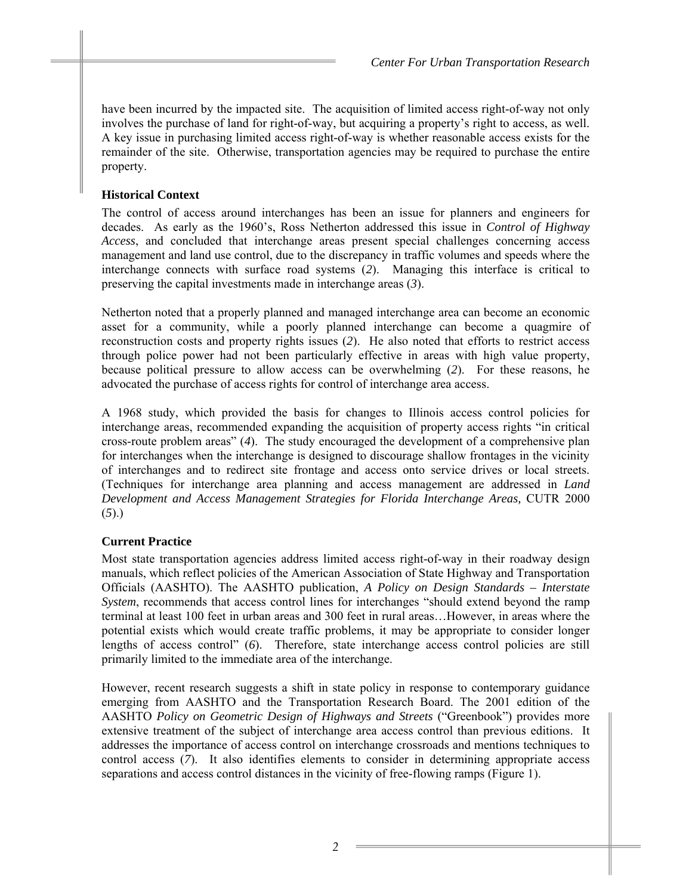have been incurred by the impacted site. The acquisition of limited access right-of-way not only involves the purchase of land for right-of-way, but acquiring a property's right to access, as well. A key issue in purchasing limited access right-of-way is whether reasonable access exists for the remainder of the site. Otherwise, transportation agencies may be required to purchase the entire property.

# **Historical Context**

The control of access around interchanges has been an issue for planners and engineers for decades. As early as the 1960's, Ross Netherton addressed this issue in *Control of Highway Access*, and concluded that interchange areas present special challenges concerning access management and land use control, due to the discrepancy in traffic volumes and speeds where the interchange connects with surface road systems (*2*). Managing this interface is critical to preserving the capital investments made in interchange areas (*3*).

Netherton noted that a properly planned and managed interchange area can become an economic asset for a community, while a poorly planned interchange can become a quagmire of reconstruction costs and property rights issues (*2*). He also noted that efforts to restrict access through police power had not been particularly effective in areas with high value property, because political pressure to allow access can be overwhelming (*2*). For these reasons, he advocated the purchase of access rights for control of interchange area access.

A 1968 study, which provided the basis for changes to Illinois access control policies for interchange areas, recommended expanding the acquisition of property access rights "in critical cross-route problem areas" (*4*). The study encouraged the development of a comprehensive plan for interchanges when the interchange is designed to discourage shallow frontages in the vicinity of interchanges and to redirect site frontage and access onto service drives or local streets. (Techniques for interchange area planning and access management are addressed in *Land Development and Access Management Strategies for Florida Interchange Areas,* CUTR 2000 (*5*).)

# **Current Practice**

Most state transportation agencies address limited access right-of-way in their roadway design manuals, which reflect policies of the American Association of State Highway and Transportation Officials (AASHTO). The AASHTO publication, *A Policy on Design Standards – Interstate System*, recommends that access control lines for interchanges "should extend beyond the ramp terminal at least 100 feet in urban areas and 300 feet in rural areas…However, in areas where the potential exists which would create traffic problems, it may be appropriate to consider longer lengths of access control" (6). Therefore, state interchange access control policies are still primarily limited to the immediate area of the interchange.

However, recent research suggests a shift in state policy in response to contemporary guidance emerging from AASHTO and the Transportation Research Board. The 2001 edition of the AASHTO *Policy on Geometric Design of Highways and Streets* ("Greenbook") provides more extensive treatment of the subject of interchange area access control than previous editions. It addresses the importance of access control on interchange crossroads and mentions techniques to control access (*7*). It also identifies elements to consider in determining appropriate access separations and access control distances in the vicinity of free-flowing ramps (Figure 1).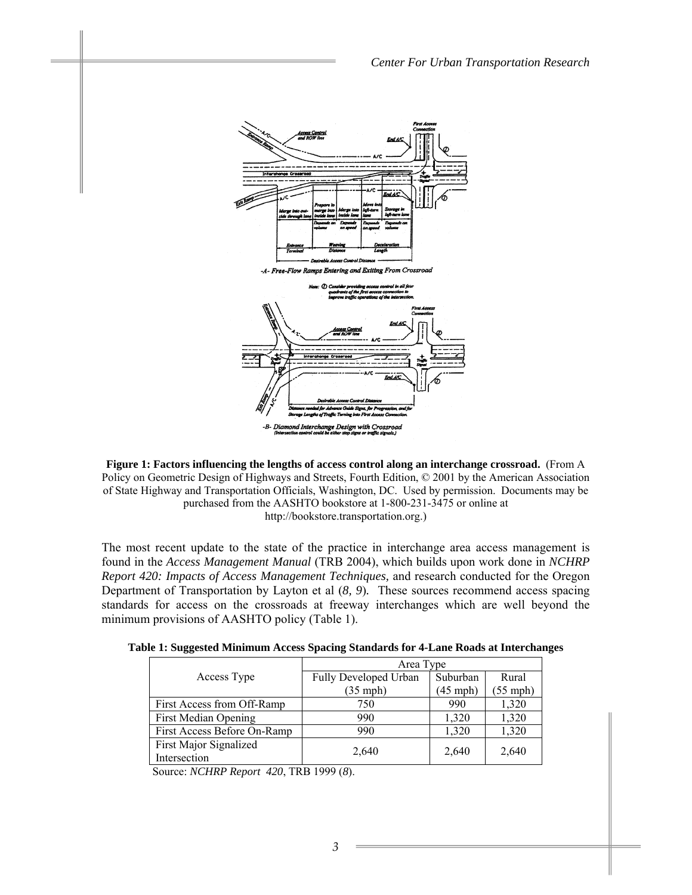

**Figure 1: Factors influencing the lengths of access control along an interchange crossroad.** (From A Policy on Geometric Design of Highways and Streets, Fourth Edition, © 2001 by the American Association of State Highway and Transportation Officials, Washington, DC. Used by permission. Documents may be purchased from the AASHTO bookstore at 1-800-231-3475 or online at http://bookstore.transportation.org.)

The most recent update to the state of the practice in interchange area access management is found in the *Access Management Manual* (TRB 2004), which builds upon work done in *NCHRP Report 420: Impacts of Access Management Techniques,* and research conducted for the Oregon Department of Transportation by Layton et al (*8, 9*)*.* These sources recommend access spacing standards for access on the crossroads at freeway interchanges which are well beyond the minimum provisions of AASHTO policy (Table 1).

|  |  | Table 1: Suggested Minimum Access Spacing Standards for 4-Lane Roads at Interchanges |
|--|--|--------------------------------------------------------------------------------------|
|--|--|--------------------------------------------------------------------------------------|

|                             | Area Type             |            |                    |  |  |
|-----------------------------|-----------------------|------------|--------------------|--|--|
| Access Type                 | Fully Developed Urban | Suburban   | Rural              |  |  |
|                             | $(35$ mph)            | $(45$ mph) | $(55 \text{ mph})$ |  |  |
| First Access from Off-Ramp  | 750                   | 990        | 1,320              |  |  |
| <b>First Median Opening</b> | 990                   | 1,320      | 1,320              |  |  |
| First Access Before On-Ramp | 990                   | 1,320      | 1,320              |  |  |
| First Major Signalized      |                       |            |                    |  |  |
| Intersection                | 2,640                 | 2,640      | 2,640              |  |  |

Source: *NCHRP Report 420*, TRB 1999 (*8*).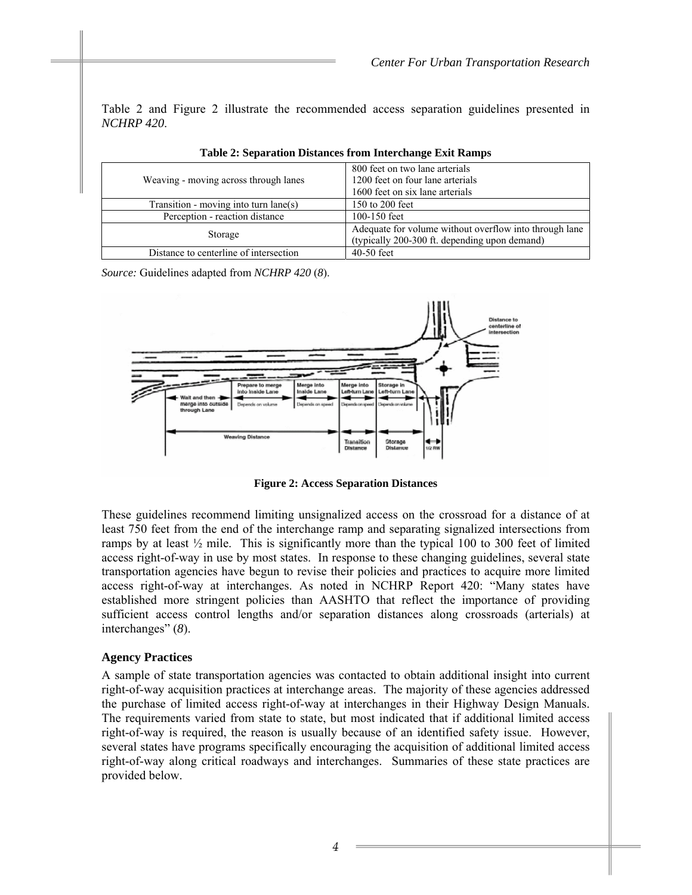Table 2 and Figure 2 illustrate the recommended access separation guidelines presented in *NCHRP 420*.

| Weaving - moving across through lanes   | 800 feet on two lane arterials<br>1200 feet on four lane arterials<br>1600 feet on six lane arterials   |  |  |
|-----------------------------------------|---------------------------------------------------------------------------------------------------------|--|--|
| Transition - moving into turn $lane(s)$ | 150 to 200 feet                                                                                         |  |  |
| Perception - reaction distance          | 100-150 feet                                                                                            |  |  |
| Storage                                 | Adequate for volume without overflow into through lane<br>(typically 200-300 ft. depending upon demand) |  |  |
| Distance to centerline of intersection  | $40-50$ feet                                                                                            |  |  |

|  |  | Table 2: Separation Distances from Interchange Exit Ramps |  |
|--|--|-----------------------------------------------------------|--|
|--|--|-----------------------------------------------------------|--|

*Source:* Guidelines adapted from *NCHRP 420* (*8*).



**Figure 2: Access Separation Distances** 

These guidelines recommend limiting unsignalized access on the crossroad for a distance of at least 750 feet from the end of the interchange ramp and separating signalized intersections from ramps by at least  $\frac{1}{2}$  mile. This is significantly more than the typical 100 to 300 feet of limited access right-of-way in use by most states. In response to these changing guidelines, several state transportation agencies have begun to revise their policies and practices to acquire more limited access right-of-way at interchanges. As noted in NCHRP Report 420: "Many states have established more stringent policies than AASHTO that reflect the importance of providing sufficient access control lengths and/or separation distances along crossroads (arterials) at interchanges" (*8*).

#### **Agency Practices**

A sample of state transportation agencies was contacted to obtain additional insight into current right-of-way acquisition practices at interchange areas. The majority of these agencies addressed the purchase of limited access right-of-way at interchanges in their Highway Design Manuals. The requirements varied from state to state, but most indicated that if additional limited access right-of-way is required, the reason is usually because of an identified safety issue. However, several states have programs specifically encouraging the acquisition of additional limited access right-of-way along critical roadways and interchanges. Summaries of these state practices are provided below.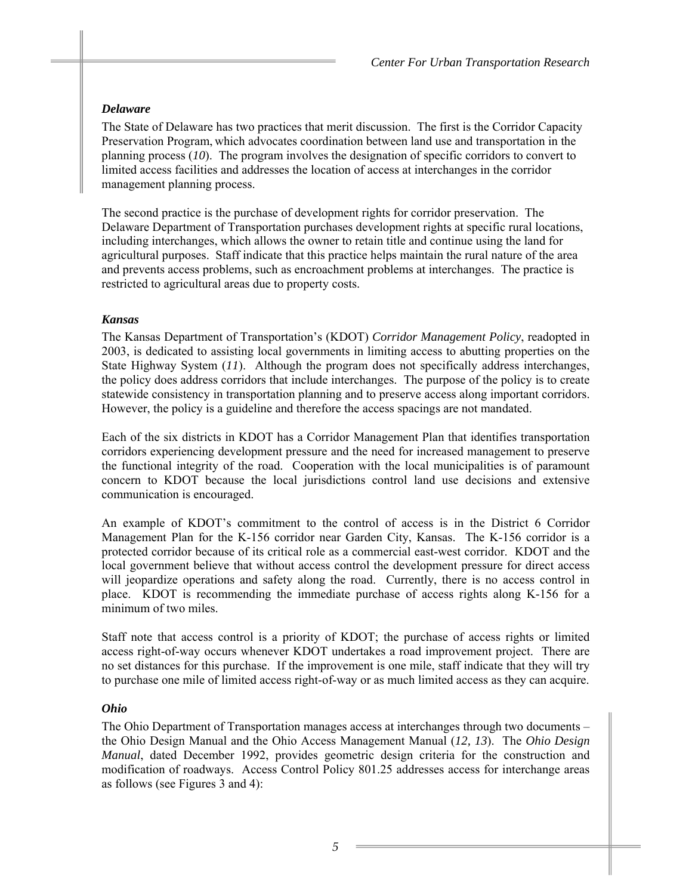# *Delaware*

The State of Delaware has two practices that merit discussion. The first is the Corridor Capacity Preservation Program, which advocates coordination between land use and transportation in the planning process (*10*). The program involves the designation of specific corridors to convert to limited access facilities and addresses the location of access at interchanges in the corridor management planning process.

The second practice is the purchase of development rights for corridor preservation. The Delaware Department of Transportation purchases development rights at specific rural locations, including interchanges, which allows the owner to retain title and continue using the land for agricultural purposes. Staff indicate that this practice helps maintain the rural nature of the area and prevents access problems, such as encroachment problems at interchanges. The practice is restricted to agricultural areas due to property costs.

## *Kansas*

The Kansas Department of Transportation's (KDOT) *Corridor Management Policy*, readopted in 2003, is dedicated to assisting local governments in limiting access to abutting properties on the State Highway System (*11*). Although the program does not specifically address interchanges, the policy does address corridors that include interchanges. The purpose of the policy is to create statewide consistency in transportation planning and to preserve access along important corridors. However, the policy is a guideline and therefore the access spacings are not mandated.

Each of the six districts in KDOT has a Corridor Management Plan that identifies transportation corridors experiencing development pressure and the need for increased management to preserve the functional integrity of the road. Cooperation with the local municipalities is of paramount concern to KDOT because the local jurisdictions control land use decisions and extensive communication is encouraged.

An example of KDOT's commitment to the control of access is in the District 6 Corridor Management Plan for the K-156 corridor near Garden City, Kansas. The K-156 corridor is a protected corridor because of its critical role as a commercial east-west corridor. KDOT and the local government believe that without access control the development pressure for direct access will jeopardize operations and safety along the road. Currently, there is no access control in place. KDOT is recommending the immediate purchase of access rights along K-156 for a minimum of two miles.

Staff note that access control is a priority of KDOT; the purchase of access rights or limited access right-of-way occurs whenever KDOT undertakes a road improvement project. There are no set distances for this purchase. If the improvement is one mile, staff indicate that they will try to purchase one mile of limited access right-of-way or as much limited access as they can acquire.

# *Ohio*

The Ohio Department of Transportation manages access at interchanges through two documents – the Ohio Design Manual and the Ohio Access Management Manual (*12, 13*). The *Ohio Design Manual*, dated December 1992, provides geometric design criteria for the construction and modification of roadways. Access Control Policy 801.25 addresses access for interchange areas as follows (see Figures 3 and 4):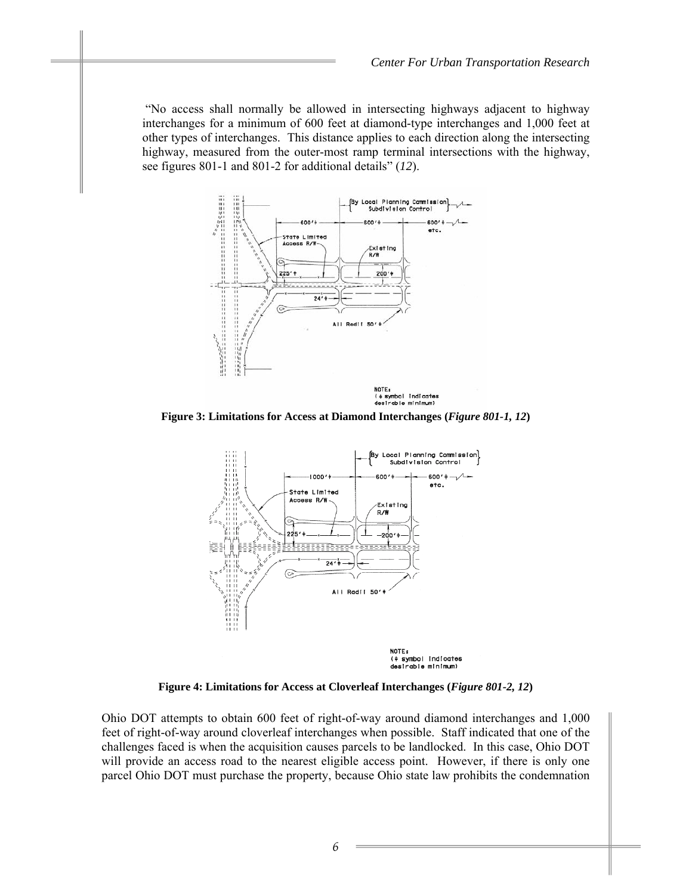"No access shall normally be allowed in intersecting highways adjacent to highway interchanges for a minimum of 600 feet at diamond-type interchanges and 1,000 feet at other types of interchanges. This distance applies to each direction along the intersecting highway, measured from the outer-most ramp terminal intersections with the highway, see figures 801-1 and 801-2 for additional details" (*12*).



**Figure 3: Limitations for Access at Diamond Interchanges (***Figure 801-1, 12***)** 



**Figure 4: Limitations for Access at Cloverleaf Interchanges (***Figure 801-2, 12***)** 

Ohio DOT attempts to obtain 600 feet of right-of-way around diamond interchanges and 1,000 feet of right-of-way around cloverleaf interchanges when possible. Staff indicated that one of the challenges faced is when the acquisition causes parcels to be landlocked. In this case, Ohio DOT will provide an access road to the nearest eligible access point. However, if there is only one parcel Ohio DOT must purchase the property, because Ohio state law prohibits the condemnation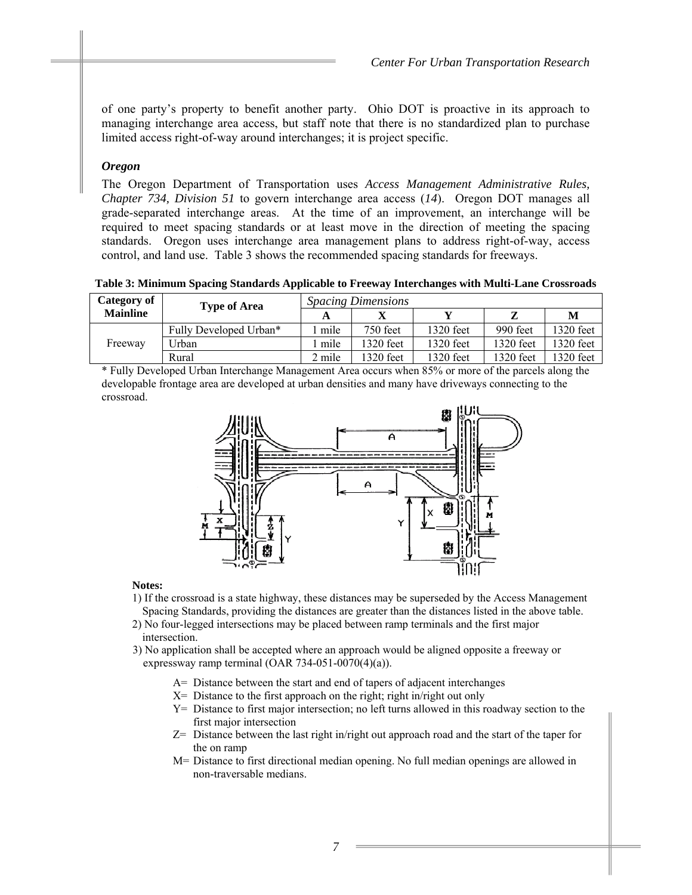of one party's property to benefit another party. Ohio DOT is proactive in its approach to managing interchange area access, but staff note that there is no standardized plan to purchase limited access right-of-way around interchanges; it is project specific.

#### *Oregon*

The Oregon Department of Transportation uses *Access Management Administrative Rules, Chapter 734, Division 51* to govern interchange area access (*14*).Oregon DOT manages all grade-separated interchange areas. At the time of an improvement, an interchange will be required to meet spacing standards or at least move in the direction of meeting the spacing standards. Oregon uses interchange area management plans to address right-of-way, access control, and land use. Table 3 shows the recommended spacing standards for freeways.

**Table 3: Minimum Spacing Standards Applicable to Freeway Interchanges with Multi-Lane Crossroads** 

| Category of<br><b>Type of Area</b> |                        | <i>Spacing Dimensions</i> |           |             |             |           |
|------------------------------------|------------------------|---------------------------|-----------|-------------|-------------|-----------|
| <b>Mainline</b>                    |                        | A                         |           |             |             | M         |
|                                    | Fully Developed Urban* | mile                      | 750 feet  | $1320$ feet | 990 feet    | 1320 feet |
| Freeway                            | Urban                  | l mile                    | 1320 feet | $1320$ feet | $1320$ feet | 1320 feet |
|                                    | Rural                  | 2 mile                    | 1320 feet | 1320 feet   | 1320 feet   | 1320 feet |

\* Fully Developed Urban Interchange Management Area occurs when 85% or more of the parcels along the developable frontage area are developed at urban densities and many have driveways connecting to the crossroad.



#### **Notes:**

- 1) If the crossroad is a state highway, these distances may be superseded by the Access Management Spacing Standards, providing the distances are greater than the distances listed in the above table.
- 2) No four-legged intersections may be placed between ramp terminals and the first major intersection.
- 3) No application shall be accepted where an approach would be aligned opposite a freeway or expressway ramp terminal (OAR 734-051-0070(4)(a)).
	- A= Distance between the start and end of tapers of adjacent interchanges
	- $X=$  Distance to the first approach on the right; right in/right out only
	- Y= Distance to first major intersection; no left turns allowed in this roadway section to the first major intersection
	- Z= Distance between the last right in/right out approach road and the start of the taper for the on ramp
	- M= Distance to first directional median opening. No full median openings are allowed in non-traversable medians.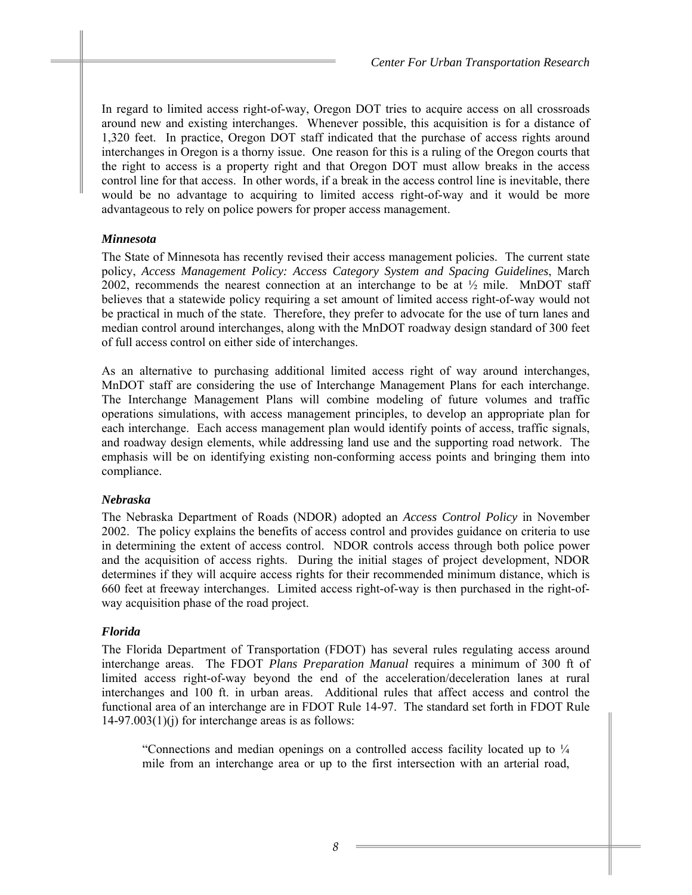In regard to limited access right-of-way, Oregon DOT tries to acquire access on all crossroads around new and existing interchanges. Whenever possible, this acquisition is for a distance of 1,320 feet. In practice, Oregon DOT staff indicated that the purchase of access rights around interchanges in Oregon is a thorny issue. One reason for this is a ruling of the Oregon courts that the right to access is a property right and that Oregon DOT must allow breaks in the access control line for that access. In other words, if a break in the access control line is inevitable, there would be no advantage to acquiring to limited access right-of-way and it would be more advantageous to rely on police powers for proper access management.

# *Minnesota*

The State of Minnesota has recently revised their access management policies. The current state policy, *Access Management Policy: Access Category System and Spacing Guidelines*, March 2002, recommends the nearest connection at an interchange to be at  $\frac{1}{2}$  mile. MnDOT staff believes that a statewide policy requiring a set amount of limited access right-of-way would not be practical in much of the state. Therefore, they prefer to advocate for the use of turn lanes and median control around interchanges, along with the MnDOT roadway design standard of 300 feet of full access control on either side of interchanges.

As an alternative to purchasing additional limited access right of way around interchanges, MnDOT staff are considering the use of Interchange Management Plans for each interchange. The Interchange Management Plans will combine modeling of future volumes and traffic operations simulations, with access management principles, to develop an appropriate plan for each interchange. Each access management plan would identify points of access, traffic signals, and roadway design elements, while addressing land use and the supporting road network. The emphasis will be on identifying existing non-conforming access points and bringing them into compliance.

# *Nebraska*

The Nebraska Department of Roads (NDOR) adopted an *Access Control Policy* in November 2002. The policy explains the benefits of access control and provides guidance on criteria to use in determining the extent of access control. NDOR controls access through both police power and the acquisition of access rights. During the initial stages of project development, NDOR determines if they will acquire access rights for their recommended minimum distance, which is 660 feet at freeway interchanges. Limited access right-of-way is then purchased in the right-ofway acquisition phase of the road project.

# *Florida*

The Florida Department of Transportation (FDOT) has several rules regulating access around interchange areas. The FDOT *Plans Preparation Manual* requires a minimum of 300 ft of limited access right-of-way beyond the end of the acceleration/deceleration lanes at rural interchanges and 100 ft. in urban areas. Additional rules that affect access and control the functional area of an interchange are in FDOT Rule 14-97. The standard set forth in FDOT Rule  $14-97.003(1)(i)$  for interchange areas is as follows:

"Connections and median openings on a controlled access facility located up to ¼ mile from an interchange area or up to the first intersection with an arterial road,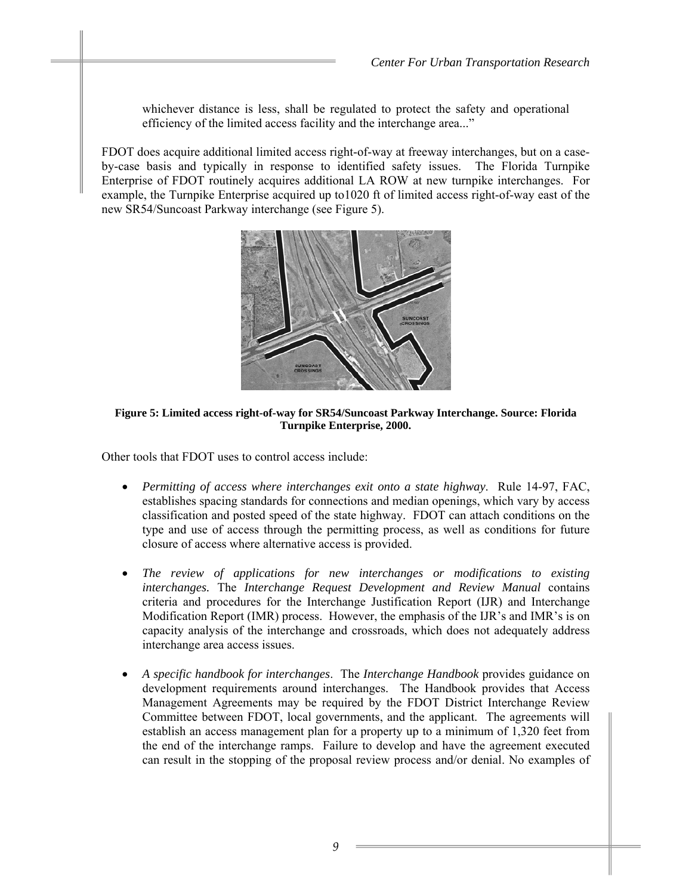whichever distance is less, shall be regulated to protect the safety and operational efficiency of the limited access facility and the interchange area..."

FDOT does acquire additional limited access right-of-way at freeway interchanges, but on a caseby-case basis and typically in response to identified safety issues. The Florida Turnpike Enterprise of FDOT routinely acquires additional LA ROW at new turnpike interchanges. For example, the Turnpike Enterprise acquired up to1020 ft of limited access right-of-way east of the new SR54/Suncoast Parkway interchange (see Figure 5).



#### **Figure 5: Limited access right-of-way for SR54/Suncoast Parkway Interchange. Source: Florida Turnpike Enterprise, 2000.**

Other tools that FDOT uses to control access include:

- *Permitting of access where interchanges exit onto a state highway*. Rule 14-97, FAC, establishes spacing standards for connections and median openings, which vary by access classification and posted speed of the state highway. FDOT can attach conditions on the type and use of access through the permitting process, as well as conditions for future closure of access where alternative access is provided.
- *The review of applications for new interchanges or modifications to existing interchanges.* The *Interchange Request Development and Review Manual* contains criteria and procedures for the Interchange Justification Report (IJR) and Interchange Modification Report (IMR) process. However, the emphasis of the IJR's and IMR's is on capacity analysis of the interchange and crossroads, which does not adequately address interchange area access issues.
- *A specific handbook for interchanges*. The *Interchange Handbook* provides guidance on development requirements around interchanges. The Handbook provides that Access Management Agreements may be required by the FDOT District Interchange Review Committee between FDOT, local governments, and the applicant. The agreements will establish an access management plan for a property up to a minimum of 1,320 feet from the end of the interchange ramps. Failure to develop and have the agreement executed can result in the stopping of the proposal review process and/or denial. No examples of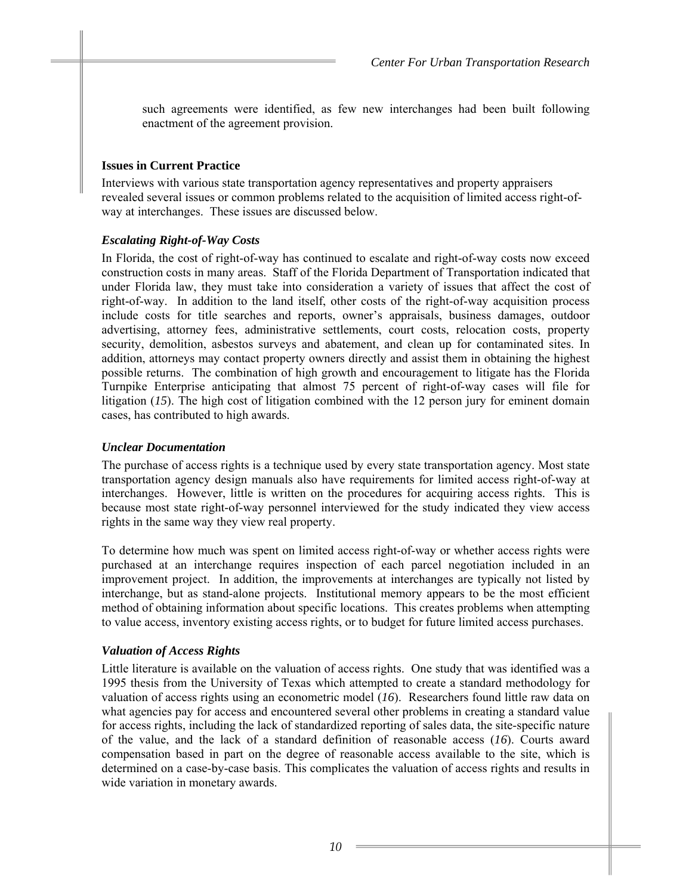such agreements were identified, as few new interchanges had been built following enactment of the agreement provision.

#### **Issues in Current Practice**

Interviews with various state transportation agency representatives and property appraisers revealed several issues or common problems related to the acquisition of limited access right-ofway at interchanges. These issues are discussed below.

## *Escalating Right-of-Way Costs*

In Florida, the cost of right-of-way has continued to escalate and right-of-way costs now exceed construction costs in many areas. Staff of the Florida Department of Transportation indicated that under Florida law, they must take into consideration a variety of issues that affect the cost of right-of-way. In addition to the land itself, other costs of the right-of-way acquisition process include costs for title searches and reports, owner's appraisals, business damages, outdoor advertising, attorney fees, administrative settlements, court costs, relocation costs, property security, demolition, asbestos surveys and abatement, and clean up for contaminated sites. In addition, attorneys may contact property owners directly and assist them in obtaining the highest possible returns. The combination of high growth and encouragement to litigate has the Florida Turnpike Enterprise anticipating that almost 75 percent of right-of-way cases will file for litigation (*15*). The high cost of litigation combined with the 12 person jury for eminent domain cases, has contributed to high awards.

## *Unclear Documentation*

The purchase of access rights is a technique used by every state transportation agency. Most state transportation agency design manuals also have requirements for limited access right-of-way at interchanges. However, little is written on the procedures for acquiring access rights. This is because most state right-of-way personnel interviewed for the study indicated they view access rights in the same way they view real property.

To determine how much was spent on limited access right-of-way or whether access rights were purchased at an interchange requires inspection of each parcel negotiation included in an improvement project. In addition, the improvements at interchanges are typically not listed by interchange, but as stand-alone projects. Institutional memory appears to be the most efficient method of obtaining information about specific locations. This creates problems when attempting to value access, inventory existing access rights, or to budget for future limited access purchases.

# *Valuation of Access Rights*

Little literature is available on the valuation of access rights. One study that was identified was a 1995 thesis from the University of Texas which attempted to create a standard methodology for valuation of access rights using an econometric model (*16*). Researchers found little raw data on what agencies pay for access and encountered several other problems in creating a standard value for access rights, including the lack of standardized reporting of sales data, the site-specific nature of the value, and the lack of a standard definition of reasonable access (*16*). Courts award compensation based in part on the degree of reasonable access available to the site, which is determined on a case-by-case basis. This complicates the valuation of access rights and results in wide variation in monetary awards.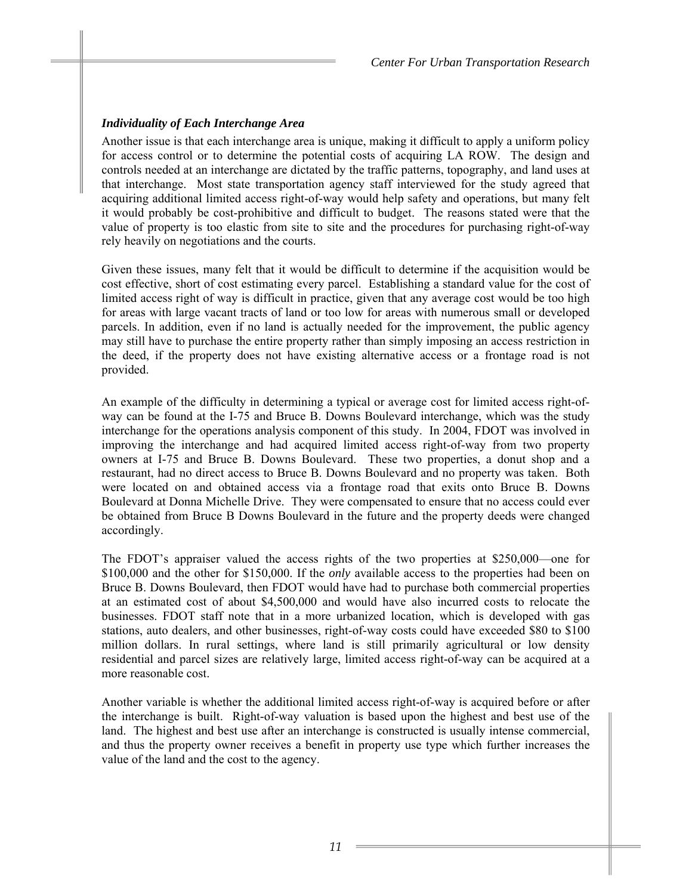# *Individuality of Each Interchange Area*

Another issue is that each interchange area is unique, making it difficult to apply a uniform policy for access control or to determine the potential costs of acquiring LA ROW. The design and controls needed at an interchange are dictated by the traffic patterns, topography, and land uses at that interchange. Most state transportation agency staff interviewed for the study agreed that acquiring additional limited access right-of-way would help safety and operations, but many felt it would probably be cost-prohibitive and difficult to budget. The reasons stated were that the value of property is too elastic from site to site and the procedures for purchasing right-of-way rely heavily on negotiations and the courts.

Given these issues, many felt that it would be difficult to determine if the acquisition would be cost effective, short of cost estimating every parcel. Establishing a standard value for the cost of limited access right of way is difficult in practice, given that any average cost would be too high for areas with large vacant tracts of land or too low for areas with numerous small or developed parcels. In addition, even if no land is actually needed for the improvement, the public agency may still have to purchase the entire property rather than simply imposing an access restriction in the deed, if the property does not have existing alternative access or a frontage road is not provided.

An example of the difficulty in determining a typical or average cost for limited access right-ofway can be found at the I-75 and Bruce B. Downs Boulevard interchange, which was the study interchange for the operations analysis component of this study. In 2004, FDOT was involved in improving the interchange and had acquired limited access right-of-way from two property owners at I-75 and Bruce B. Downs Boulevard. These two properties, a donut shop and a restaurant, had no direct access to Bruce B. Downs Boulevard and no property was taken. Both were located on and obtained access via a frontage road that exits onto Bruce B. Downs Boulevard at Donna Michelle Drive. They were compensated to ensure that no access could ever be obtained from Bruce B Downs Boulevard in the future and the property deeds were changed accordingly.

The FDOT's appraiser valued the access rights of the two properties at \$250,000—one for \$100,000 and the other for \$150,000. If the *only* available access to the properties had been on Bruce B. Downs Boulevard, then FDOT would have had to purchase both commercial properties at an estimated cost of about \$4,500,000 and would have also incurred costs to relocate the businesses. FDOT staff note that in a more urbanized location, which is developed with gas stations, auto dealers, and other businesses, right-of-way costs could have exceeded \$80 to \$100 million dollars. In rural settings, where land is still primarily agricultural or low density residential and parcel sizes are relatively large, limited access right-of-way can be acquired at a more reasonable cost.

Another variable is whether the additional limited access right-of-way is acquired before or after the interchange is built. Right-of-way valuation is based upon the highest and best use of the land. The highest and best use after an interchange is constructed is usually intense commercial, and thus the property owner receives a benefit in property use type which further increases the value of the land and the cost to the agency.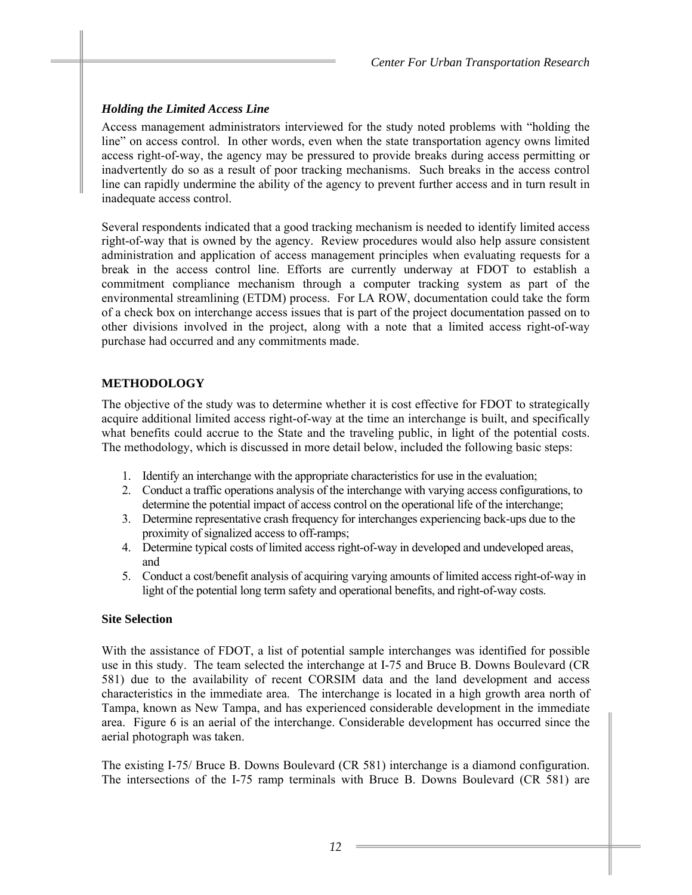# *Holding the Limited Access Line*

Access management administrators interviewed for the study noted problems with "holding the line" on access control. In other words, even when the state transportation agency owns limited access right-of-way, the agency may be pressured to provide breaks during access permitting or inadvertently do so as a result of poor tracking mechanisms. Such breaks in the access control line can rapidly undermine the ability of the agency to prevent further access and in turn result in inadequate access control.

Several respondents indicated that a good tracking mechanism is needed to identify limited access right-of-way that is owned by the agency. Review procedures would also help assure consistent administration and application of access management principles when evaluating requests for a break in the access control line. Efforts are currently underway at FDOT to establish a commitment compliance mechanism through a computer tracking system as part of the environmental streamlining (ETDM) process. For LA ROW, documentation could take the form of a check box on interchange access issues that is part of the project documentation passed on to other divisions involved in the project, along with a note that a limited access right-of-way purchase had occurred and any commitments made.

# **METHODOLOGY**

The objective of the study was to determine whether it is cost effective for FDOT to strategically acquire additional limited access right-of-way at the time an interchange is built, and specifically what benefits could accrue to the State and the traveling public, in light of the potential costs. The methodology, which is discussed in more detail below, included the following basic steps:

- 1. Identify an interchange with the appropriate characteristics for use in the evaluation;
- 2. Conduct a traffic operations analysis of the interchange with varying access configurations, to determine the potential impact of access control on the operational life of the interchange;
- 3. Determine representative crash frequency for interchanges experiencing back-ups due to the proximity of signalized access to off-ramps;
- 4. Determine typical costs of limited access right-of-way in developed and undeveloped areas, and
- 5. Conduct a cost/benefit analysis of acquiring varying amounts of limited access right-of-way in light of the potential long term safety and operational benefits, and right-of-way costs.

# **Site Selection**

With the assistance of FDOT, a list of potential sample interchanges was identified for possible use in this study. The team selected the interchange at I-75 and Bruce B. Downs Boulevard (CR 581) due to the availability of recent CORSIM data and the land development and access characteristics in the immediate area. The interchange is located in a high growth area north of Tampa, known as New Tampa, and has experienced considerable development in the immediate area. Figure 6 is an aerial of the interchange. Considerable development has occurred since the aerial photograph was taken.

The existing I-75/ Bruce B. Downs Boulevard (CR 581) interchange is a diamond configuration. The intersections of the I-75 ramp terminals with Bruce B. Downs Boulevard (CR 581) are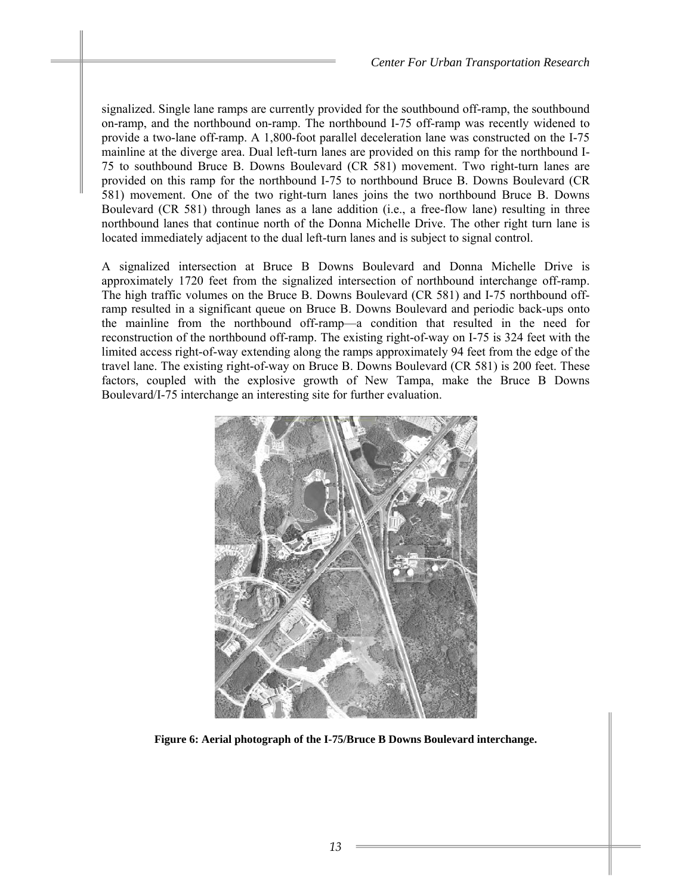signalized. Single lane ramps are currently provided for the southbound off-ramp, the southbound on-ramp, and the northbound on-ramp. The northbound I-75 off-ramp was recently widened to provide a two-lane off-ramp. A 1,800-foot parallel deceleration lane was constructed on the I-75 mainline at the diverge area. Dual left-turn lanes are provided on this ramp for the northbound I-75 to southbound Bruce B. Downs Boulevard (CR 581) movement. Two right-turn lanes are provided on this ramp for the northbound I-75 to northbound Bruce B. Downs Boulevard (CR 581) movement. One of the two right-turn lanes joins the two northbound Bruce B. Downs Boulevard (CR 581) through lanes as a lane addition (i.e., a free-flow lane) resulting in three northbound lanes that continue north of the Donna Michelle Drive. The other right turn lane is located immediately adjacent to the dual left-turn lanes and is subject to signal control.

A signalized intersection at Bruce B Downs Boulevard and Donna Michelle Drive is approximately 1720 feet from the signalized intersection of northbound interchange off-ramp. The high traffic volumes on the Bruce B. Downs Boulevard (CR 581) and I-75 northbound offramp resulted in a significant queue on Bruce B. Downs Boulevard and periodic back-ups onto the mainline from the northbound off-ramp—a condition that resulted in the need for reconstruction of the northbound off-ramp. The existing right-of-way on I-75 is 324 feet with the limited access right-of-way extending along the ramps approximately 94 feet from the edge of the travel lane. The existing right-of-way on Bruce B. Downs Boulevard (CR 581) is 200 feet. These factors, coupled with the explosive growth of New Tampa, make the Bruce B Downs Boulevard/I-75 interchange an interesting site for further evaluation.



**Figure 6: Aerial photograph of the I-75/Bruce B Downs Boulevard interchange.**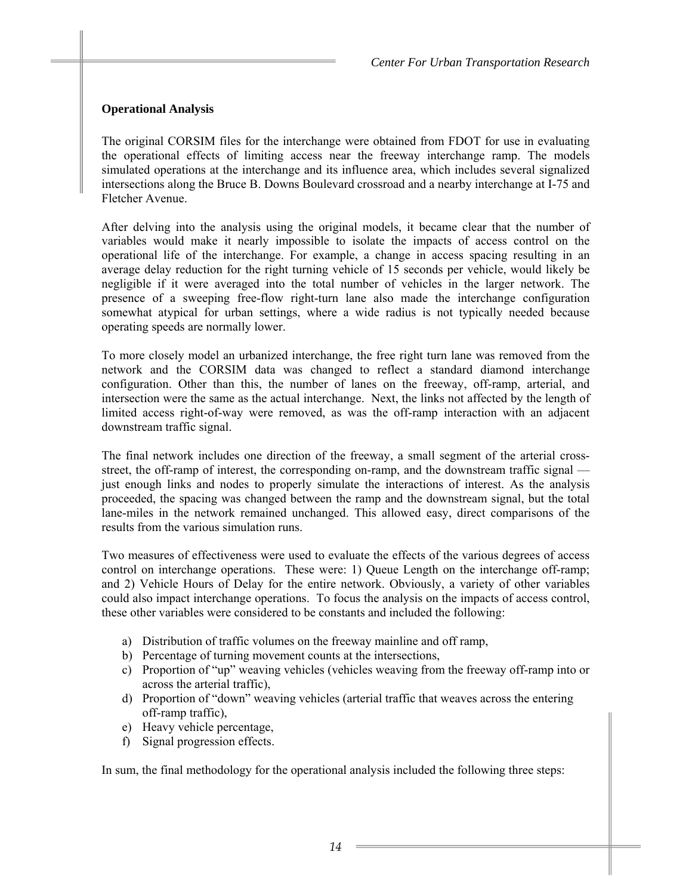# **Operational Analysis**

The original CORSIM files for the interchange were obtained from FDOT for use in evaluating the operational effects of limiting access near the freeway interchange ramp. The models simulated operations at the interchange and its influence area, which includes several signalized intersections along the Bruce B. Downs Boulevard crossroad and a nearby interchange at I-75 and Fletcher Avenue.

After delving into the analysis using the original models, it became clear that the number of variables would make it nearly impossible to isolate the impacts of access control on the operational life of the interchange. For example, a change in access spacing resulting in an average delay reduction for the right turning vehicle of 15 seconds per vehicle, would likely be negligible if it were averaged into the total number of vehicles in the larger network. The presence of a sweeping free-flow right-turn lane also made the interchange configuration somewhat atypical for urban settings, where a wide radius is not typically needed because operating speeds are normally lower.

To more closely model an urbanized interchange, the free right turn lane was removed from the network and the CORSIM data was changed to reflect a standard diamond interchange configuration. Other than this, the number of lanes on the freeway, off-ramp, arterial, and intersection were the same as the actual interchange. Next, the links not affected by the length of limited access right-of-way were removed, as was the off-ramp interaction with an adjacent downstream traffic signal.

The final network includes one direction of the freeway, a small segment of the arterial crossstreet, the off-ramp of interest, the corresponding on-ramp, and the downstream traffic signal just enough links and nodes to properly simulate the interactions of interest. As the analysis proceeded, the spacing was changed between the ramp and the downstream signal, but the total lane-miles in the network remained unchanged. This allowed easy, direct comparisons of the results from the various simulation runs.

Two measures of effectiveness were used to evaluate the effects of the various degrees of access control on interchange operations. These were: 1) Queue Length on the interchange off-ramp; and 2) Vehicle Hours of Delay for the entire network. Obviously, a variety of other variables could also impact interchange operations. To focus the analysis on the impacts of access control, these other variables were considered to be constants and included the following:

- a) Distribution of traffic volumes on the freeway mainline and off ramp,
- b) Percentage of turning movement counts at the intersections,
- c) Proportion of "up" weaving vehicles (vehicles weaving from the freeway off-ramp into or across the arterial traffic),
- d) Proportion of "down" weaving vehicles (arterial traffic that weaves across the entering off-ramp traffic),
- e) Heavy vehicle percentage,
- f) Signal progression effects.

In sum, the final methodology for the operational analysis included the following three steps: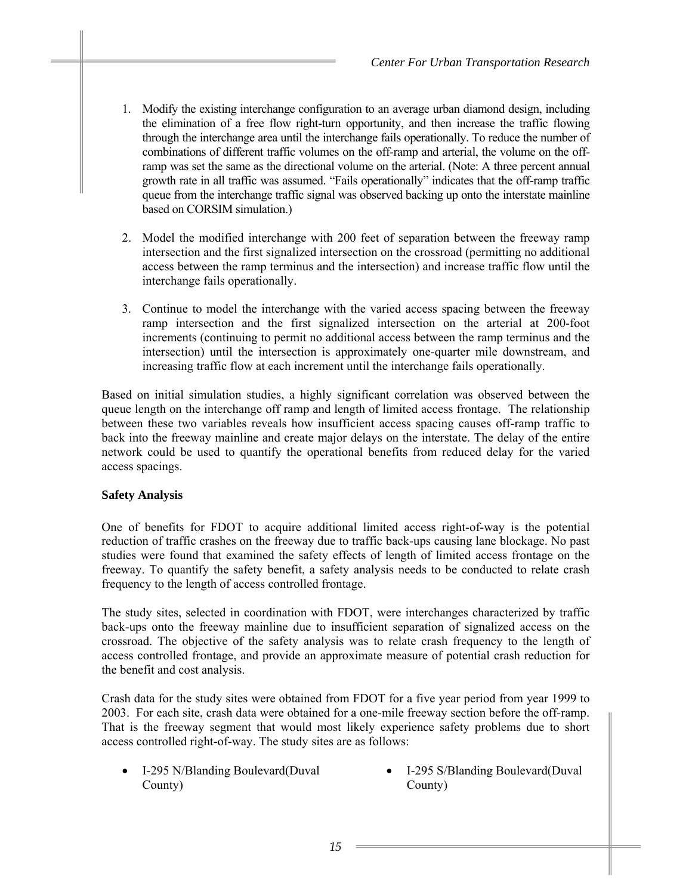- 1. Modify the existing interchange configuration to an average urban diamond design, including the elimination of a free flow right-turn opportunity, and then increase the traffic flowing through the interchange area until the interchange fails operationally. To reduce the number of combinations of different traffic volumes on the off-ramp and arterial, the volume on the offramp was set the same as the directional volume on the arterial. (Note: A three percent annual growth rate in all traffic was assumed. "Fails operationally" indicates that the off-ramp traffic queue from the interchange traffic signal was observed backing up onto the interstate mainline based on CORSIM simulation.)
- 2. Model the modified interchange with 200 feet of separation between the freeway ramp intersection and the first signalized intersection on the crossroad (permitting no additional access between the ramp terminus and the intersection) and increase traffic flow until the interchange fails operationally.
- 3. Continue to model the interchange with the varied access spacing between the freeway ramp intersection and the first signalized intersection on the arterial at 200-foot increments (continuing to permit no additional access between the ramp terminus and the intersection) until the intersection is approximately one-quarter mile downstream, and increasing traffic flow at each increment until the interchange fails operationally.

Based on initial simulation studies, a highly significant correlation was observed between the queue length on the interchange off ramp and length of limited access frontage. The relationship between these two variables reveals how insufficient access spacing causes off-ramp traffic to back into the freeway mainline and create major delays on the interstate. The delay of the entire network could be used to quantify the operational benefits from reduced delay for the varied access spacings.

# **Safety Analysis**

One of benefits for FDOT to acquire additional limited access right-of-way is the potential reduction of traffic crashes on the freeway due to traffic back-ups causing lane blockage. No past studies were found that examined the safety effects of length of limited access frontage on the freeway. To quantify the safety benefit, a safety analysis needs to be conducted to relate crash frequency to the length of access controlled frontage.

The study sites, selected in coordination with FDOT, were interchanges characterized by traffic back-ups onto the freeway mainline due to insufficient separation of signalized access on the crossroad. The objective of the safety analysis was to relate crash frequency to the length of access controlled frontage, and provide an approximate measure of potential crash reduction for the benefit and cost analysis.

Crash data for the study sites were obtained from FDOT for a five year period from year 1999 to 2003. For each site, crash data were obtained for a one-mile freeway section before the off-ramp. That is the freeway segment that would most likely experience safety problems due to short access controlled right-of-way. The study sites are as follows:

- I-295 N/Blanding Boulevard(Duval County)
- I-295 S/Blanding Boulevard(Duval County)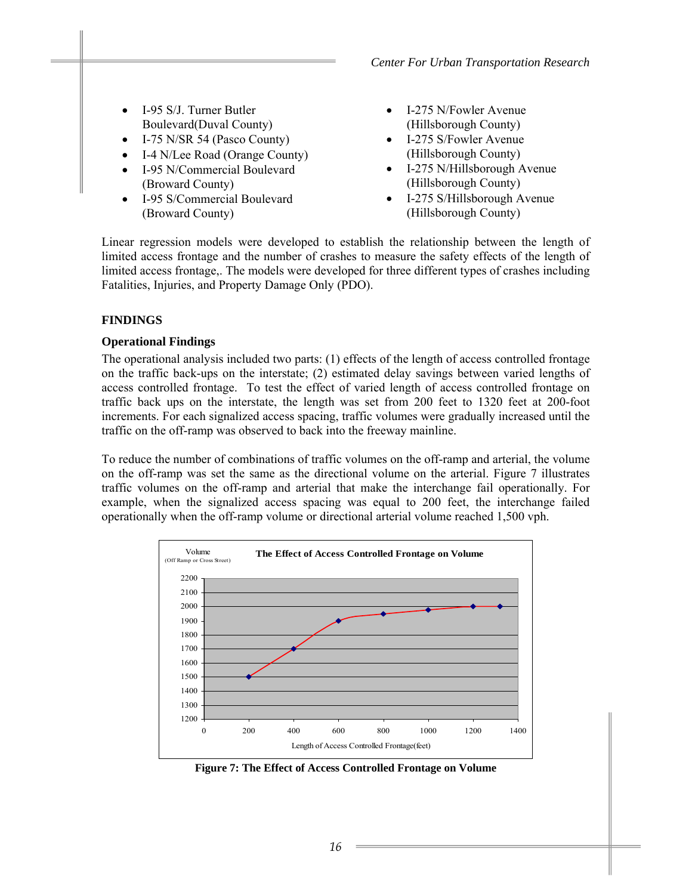- I-95 S/J. Turner Butler Boulevard(Duval County)
- I-75 N/SR 54 (Pasco County)
- I-4 N/Lee Road (Orange County)
- I-95 N/Commercial Boulevard (Broward County)
- I-95 S/Commercial Boulevard (Broward County)
- I-275 N/Fowler Avenue (Hillsborough County)
- I-275 S/Fowler Avenue (Hillsborough County)
- I-275 N/Hillsborough Avenue (Hillsborough County)
- I-275 S/Hillsborough Avenue (Hillsborough County)

Linear regression models were developed to establish the relationship between the length of limited access frontage and the number of crashes to measure the safety effects of the length of limited access frontage,. The models were developed for three different types of crashes including Fatalities, Injuries, and Property Damage Only (PDO).

# **FINDINGS**

## **Operational Findings**

The operational analysis included two parts: (1) effects of the length of access controlled frontage on the traffic back-ups on the interstate; (2) estimated delay savings between varied lengths of access controlled frontage. To test the effect of varied length of access controlled frontage on traffic back ups on the interstate, the length was set from 200 feet to 1320 feet at 200-foot increments. For each signalized access spacing, traffic volumes were gradually increased until the traffic on the off-ramp was observed to back into the freeway mainline.

To reduce the number of combinations of traffic volumes on the off-ramp and arterial, the volume on the off-ramp was set the same as the directional volume on the arterial. Figure 7 illustrates traffic volumes on the off-ramp and arterial that make the interchange fail operationally. For example, when the signalized access spacing was equal to 200 feet, the interchange failed operationally when the off-ramp volume or directional arterial volume reached 1,500 vph.



**Figure 7: The Effect of Access Controlled Frontage on Volume**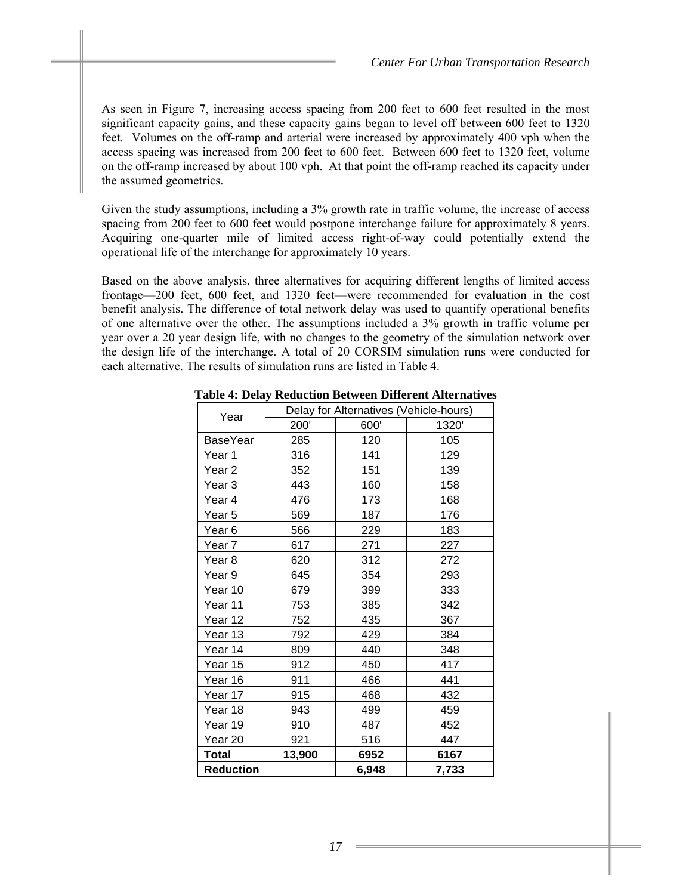As seen in Figure 7, increasing access spacing from 200 feet to 600 feet resulted in the most significant capacity gains, and these capacity gains began to level off between 600 feet to 1320 feet. Volumes on the off-ramp and arterial were increased by approximately 400 vph when the access spacing was increased from 200 feet to 600 feet. Between 600 feet to 1320 feet, volume on the off-ramp increased by about 100 vph. At that point the off-ramp reached its capacity under the assumed geometrics.

Given the study assumptions, including a 3% growth rate in traffic volume, the increase of access spacing from 200 feet to 600 feet would postpone interchange failure for approximately 8 years. Acquiring one-quarter mile of limited access right-of-way could potentially extend the operational life of the interchange for approximately 10 years.

Based on the above analysis, three alternatives for acquiring different lengths of limited access frontage—200 feet, 600 feet, and 1320 feet—were recommended for evaluation in the cost benefit analysis. The difference of total network delay was used to quantify operational benefits of one alternative over the other. The assumptions included a 3% growth in traffic volume per year over a 20 year design life, with no changes to the geometry of the simulation network over the design life of the interchange. A total of 20 CORSIM simulation runs were conducted for each alternative. The results of simulation runs are listed in Table 4.

| Year             | Delay for Alternatives (Vehicle-hours) |       |       |  |
|------------------|----------------------------------------|-------|-------|--|
|                  | 200'                                   | 600'  | 1320' |  |
| BaseYear         | 285                                    | 120   | 105   |  |
| Year 1           | 316                                    | 141   | 129   |  |
| Year 2           | 352                                    | 151   | 139   |  |
| Year 3           | 443                                    | 160   | 158   |  |
| Year 4           | 476                                    | 173   | 168   |  |
| Year 5           | 569                                    | 187   | 176   |  |
| Year 6           | 566                                    | 229   | 183   |  |
| Year 7           | 617                                    | 271   | 227   |  |
| Year 8           | 620                                    | 312   | 272   |  |
| Year 9           | 645                                    | 354   | 293   |  |
| Year 10          | 679                                    | 399   | 333   |  |
| Year 11          | 753                                    | 385   | 342   |  |
| Year 12          | 752                                    | 435   | 367   |  |
| Year 13          | 792                                    | 429   | 384   |  |
| Year 14          | 809                                    | 440   | 348   |  |
| Year 15          | 912                                    | 450   | 417   |  |
| Year 16          | 911                                    | 466   | 441   |  |
| Year 17          | 915                                    | 468   | 432   |  |
| Year 18          | 943                                    | 499   | 459   |  |
| Year 19          | 910                                    | 487   | 452   |  |
| Year 20          | 921                                    | 516   | 447   |  |
| Total            | 13,900                                 | 6952  | 6167  |  |
| <b>Reduction</b> |                                        | 6,948 | 7,733 |  |

**Table 4: Delay Reduction Between Different Alternatives**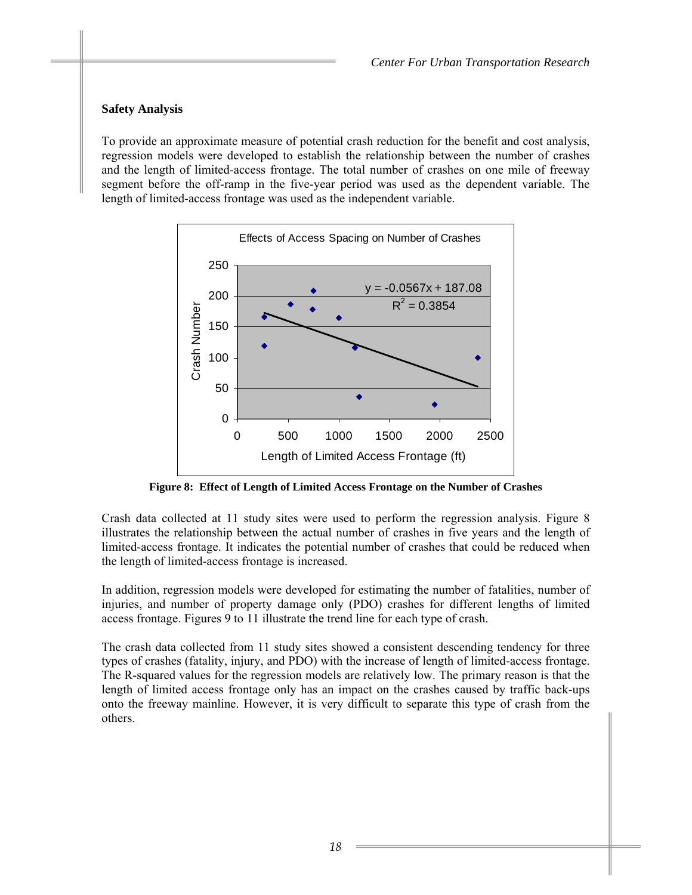# **Safety Analysis**

To provide an approximate measure of potential crash reduction for the benefit and cost analysis, regression models were developed to establish the relationship between the number of crashes and the length of limited-access frontage. The total number of crashes on one mile of freeway segment before the off-ramp in the five-year period was used as the dependent variable. The length of limited-access frontage was used as the independent variable.



**Figure 8: Effect of Length of Limited Access Frontage on the Number of Crashes** 

Crash data collected at 11 study sites were used to perform the regression analysis. Figure 8 illustrates the relationship between the actual number of crashes in five years and the length of limited-access frontage. It indicates the potential number of crashes that could be reduced when the length of limited-access frontage is increased.

In addition, regression models were developed for estimating the number of fatalities, number of injuries, and number of property damage only (PDO) crashes for different lengths of limited access frontage. Figures 9 to 11 illustrate the trend line for each type of crash.

The crash data collected from 11 study sites showed a consistent descending tendency for three types of crashes (fatality, injury, and PDO) with the increase of length of limited-access frontage. The R-squared values for the regression models are relatively low. The primary reason is that the length of limited access frontage only has an impact on the crashes caused by traffic back-ups onto the freeway mainline. However, it is very difficult to separate this type of crash from the others.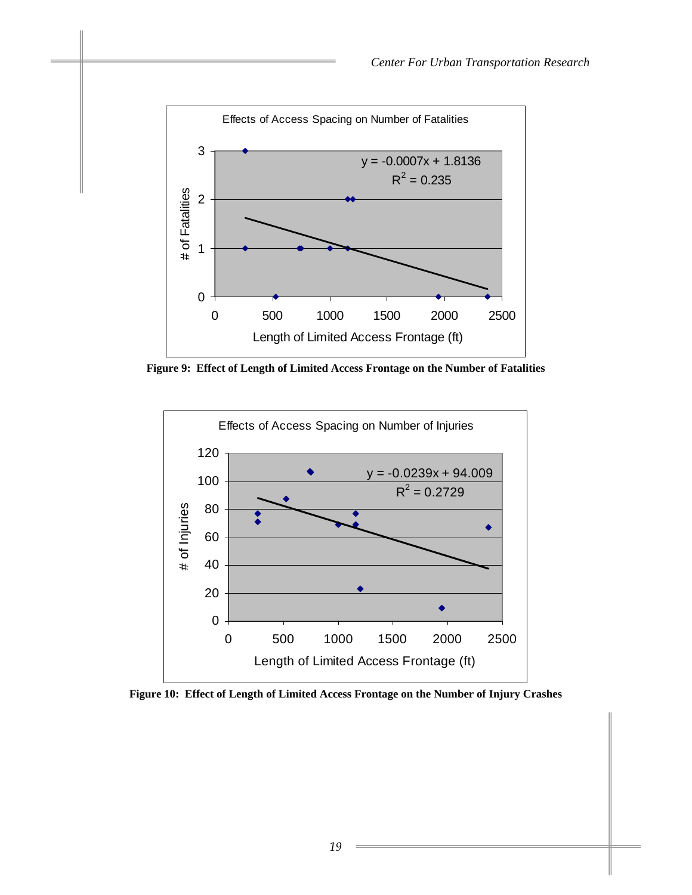

**Figure 9: Effect of Length of Limited Access Frontage on the Number of Fatalities** 



**Figure 10: Effect of Length of Limited Access Frontage on the Number of Injury Crashes**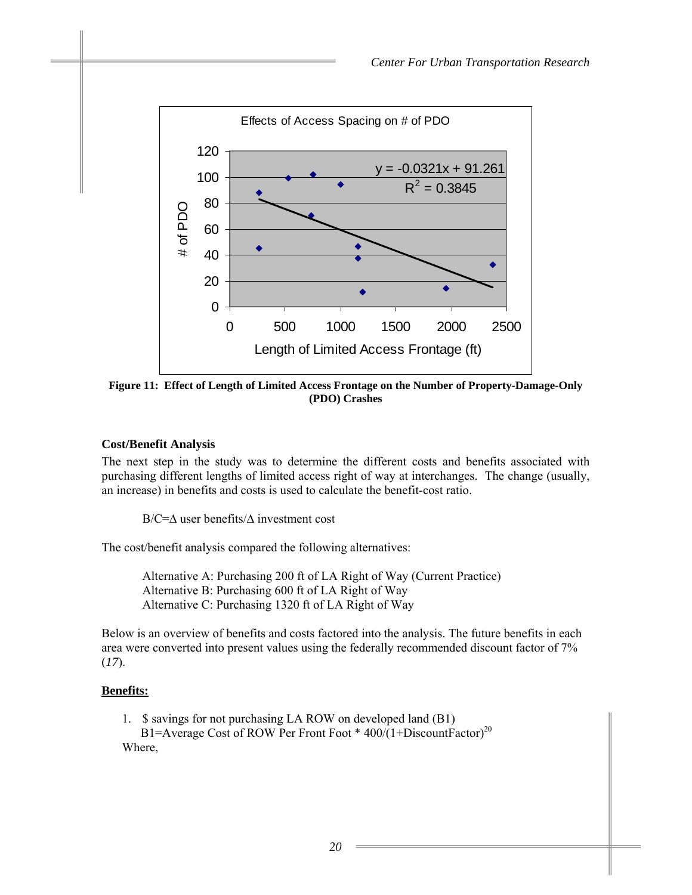

**Figure 11: Effect of Length of Limited Access Frontage on the Number of Property-Damage-Only (PDO) Crashes** 

# **Cost/Benefit Analysis**

The next step in the study was to determine the different costs and benefits associated with purchasing different lengths of limited access right of way at interchanges. The change (usually, an increase) in benefits and costs is used to calculate the benefit-cost ratio.

B/C=∆ user benefits/∆ investment cost

The cost/benefit analysis compared the following alternatives:

 Alternative A: Purchasing 200 ft of LA Right of Way (Current Practice) Alternative B: Purchasing 600 ft of LA Right of Way Alternative C: Purchasing 1320 ft of LA Right of Way

Below is an overview of benefits and costs factored into the analysis. The future benefits in each area were converted into present values using the federally recommended discount factor of 7% (*17*).

# **Benefits:**

1. \$ savings for not purchasing LA ROW on developed land (B1) B1=Average Cost of ROW Per Front Foot \* 400/(1+DiscountFactor)<sup>20</sup> Where,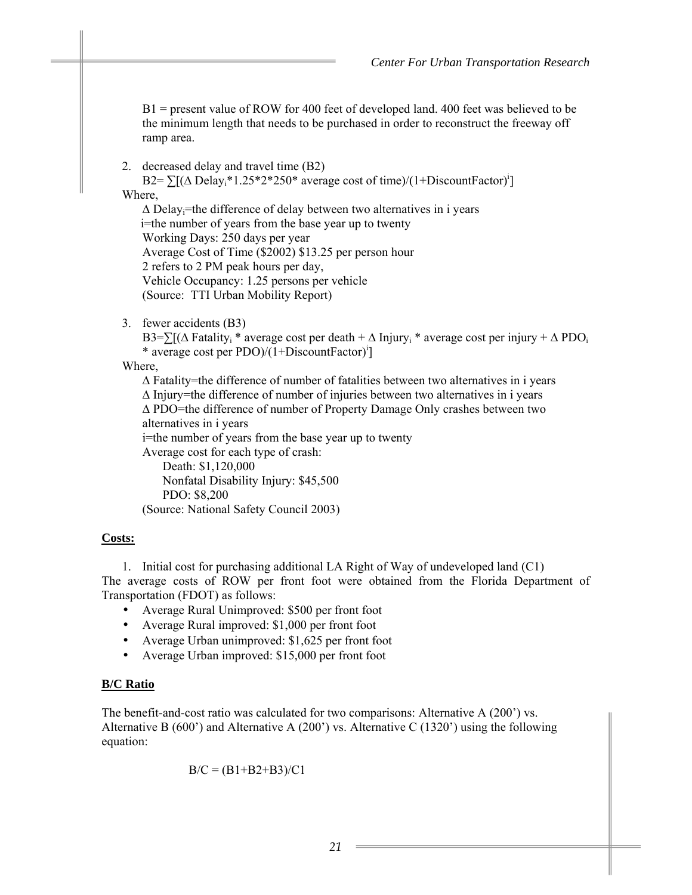B1 = present value of ROW for 400 feet of developed land. 400 feet was believed to be the minimum length that needs to be purchased in order to reconstruct the freeway off ramp area.

2. decreased delay and travel time (B2)

B2= $\sum [(\Delta \text{ Delay}_i^* 1.25^* 2^* 250^* \text{ average cost of time})/(1+\text{DiscountFactor})^i]$ Where,  $\Delta$  Delay<sub>i</sub>=the difference of delay between two alternatives in i years

 i=the number of years from the base year up to twenty Working Days: 250 days per year Average Cost of Time (\$2002) \$13.25 per person hour 2 refers to 2 PM peak hours per day, Vehicle Occupancy: 1.25 persons per vehicle (Source: TTI Urban Mobility Report)

3. fewer accidents (B3)

B3=∑[( $\triangle$  Fatality<sub>i</sub> \* average cost per death +  $\triangle$  Injury<sub>i</sub> \* average cost per injury +  $\triangle$  PDO<sub>i</sub> \* average cost per PDO)/(1+DiscountFactor)i ]

Where,

∆ Fatality=the difference of number of fatalities between two alternatives in i years ∆ Injury=the difference of number of injuries between two alternatives in i years ∆ PDO=the difference of number of Property Damage Only crashes between two alternatives in i years i=the number of years from the base year up to twenty Average cost for each type of crash: Death: \$1,120,000

Nonfatal Disability Injury: \$45,500 PDO: \$8,200 (Source: National Safety Council 2003)

# **Costs:**

1. Initial cost for purchasing additional LA Right of Way of undeveloped land (C1) The average costs of ROW per front foot were obtained from the Florida Department of Transportation (FDOT) as follows:

- Average Rural Unimproved: \$500 per front foot
- Average Rural improved: \$1,000 per front foot
- Average Urban unimproved: \$1,625 per front foot
- Average Urban improved: \$15,000 per front foot

# **B/C Ratio**

The benefit-and-cost ratio was calculated for two comparisons: Alternative A (200') vs. Alternative B (600') and Alternative A (200') vs. Alternative C (1320') using the following equation:

$$
B/C = (B1 + B2 + B3)/C1
$$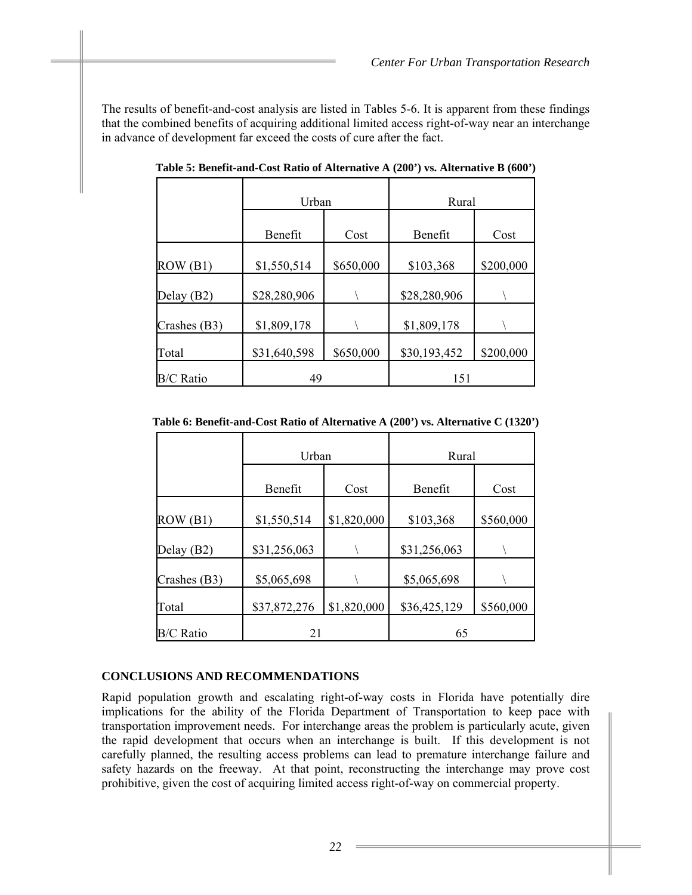The results of benefit-and-cost analysis are listed in Tables 5-6. It is apparent from these findings that the combined benefits of acquiring additional limited access right-of-way near an interchange in advance of development far exceed the costs of cure after the fact.

|                  | Urban<br>Benefit<br>Cost |           | Rural        |           |
|------------------|--------------------------|-----------|--------------|-----------|
|                  |                          |           | Benefit      | Cost      |
| ROW(B1)          | \$1,550,514              | \$650,000 | \$103,368    | \$200,000 |
| Delay $(B2)$     | \$28,280,906             |           | \$28,280,906 |           |
| Crashes (B3)     | \$1,809,178              |           | \$1,809,178  |           |
| Total            | \$31,640,598             | \$650,000 | \$30,193,452 | \$200,000 |
| <b>B/C Ratio</b> | 49                       |           | 151          |           |

**Table 5: Benefit-and-Cost Ratio of Alternative A (200') vs. Alternative B (600')** 

**Table 6: Benefit-and-Cost Ratio of Alternative A (200') vs. Alternative C (1320')** 

|                  | Urban        |             | Rural        |           |
|------------------|--------------|-------------|--------------|-----------|
|                  | Benefit      | Cost        | Benefit      | Cost      |
| ROW(B1)          | \$1,550,514  | \$1,820,000 | \$103,368    | \$560,000 |
| Delay (B2)       | \$31,256,063 |             | \$31,256,063 |           |
| Crashes (B3)     | \$5,065,698  |             | \$5,065,698  |           |
| Total            | \$37,872,276 | \$1,820,000 | \$36,425,129 | \$560,000 |
| <b>B/C Ratio</b> | 21           |             | 65           |           |

#### **CONCLUSIONS AND RECOMMENDATIONS**

Rapid population growth and escalating right-of-way costs in Florida have potentially dire implications for the ability of the Florida Department of Transportation to keep pace with transportation improvement needs. For interchange areas the problem is particularly acute, given the rapid development that occurs when an interchange is built. If this development is not carefully planned, the resulting access problems can lead to premature interchange failure and safety hazards on the freeway. At that point, reconstructing the interchange may prove cost prohibitive, given the cost of acquiring limited access right-of-way on commercial property.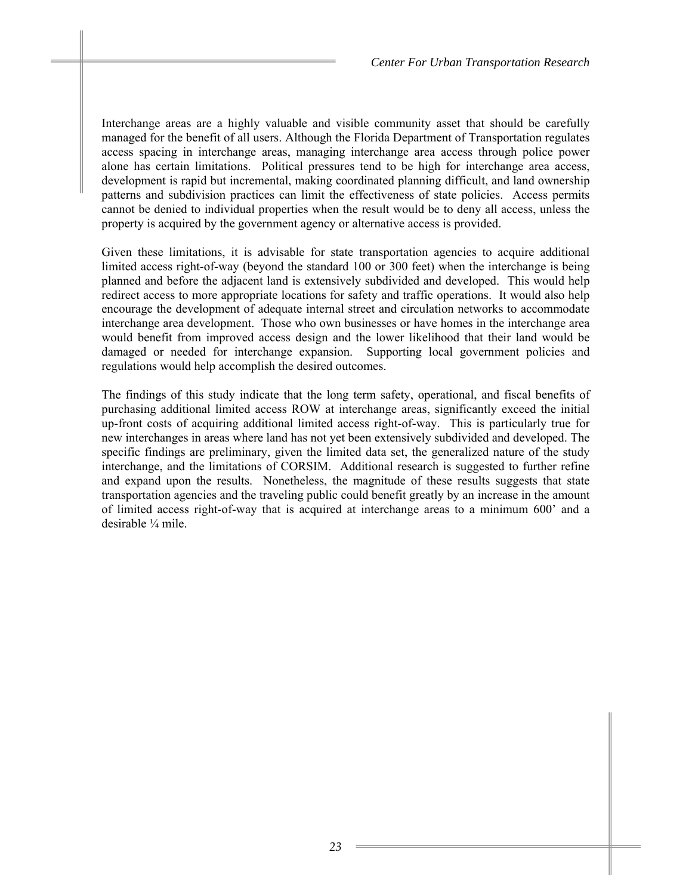Interchange areas are a highly valuable and visible community asset that should be carefully managed for the benefit of all users. Although the Florida Department of Transportation regulates access spacing in interchange areas, managing interchange area access through police power alone has certain limitations. Political pressures tend to be high for interchange area access, development is rapid but incremental, making coordinated planning difficult, and land ownership patterns and subdivision practices can limit the effectiveness of state policies. Access permits cannot be denied to individual properties when the result would be to deny all access, unless the property is acquired by the government agency or alternative access is provided.

Given these limitations, it is advisable for state transportation agencies to acquire additional limited access right-of-way (beyond the standard 100 or 300 feet) when the interchange is being planned and before the adjacent land is extensively subdivided and developed. This would help redirect access to more appropriate locations for safety and traffic operations. It would also help encourage the development of adequate internal street and circulation networks to accommodate interchange area development. Those who own businesses or have homes in the interchange area would benefit from improved access design and the lower likelihood that their land would be damaged or needed for interchange expansion. Supporting local government policies and regulations would help accomplish the desired outcomes.

The findings of this study indicate that the long term safety, operational, and fiscal benefits of purchasing additional limited access ROW at interchange areas, significantly exceed the initial up-front costs of acquiring additional limited access right-of-way. This is particularly true for new interchanges in areas where land has not yet been extensively subdivided and developed. The specific findings are preliminary, given the limited data set, the generalized nature of the study interchange, and the limitations of CORSIM. Additional research is suggested to further refine and expand upon the results. Nonetheless, the magnitude of these results suggests that state transportation agencies and the traveling public could benefit greatly by an increase in the amount of limited access right-of-way that is acquired at interchange areas to a minimum 600' and a desirable ¼ mile.